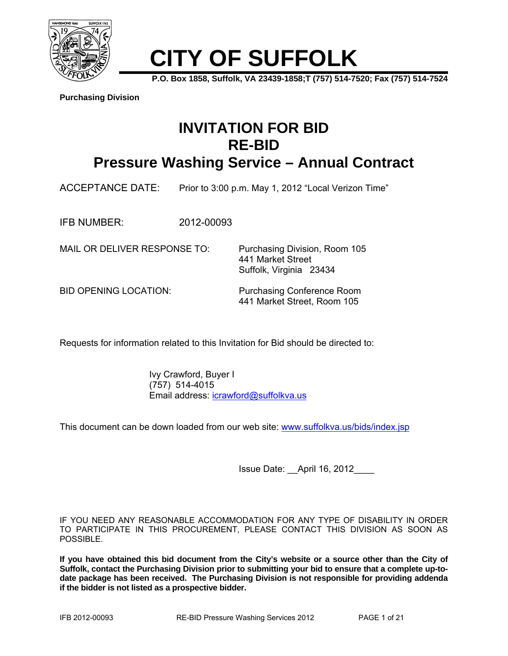

# **CITY OF SUFFOLK**

**P.O. Box 1858, Suffolk, VA 23439-1858;T (757) 514-7520; Fax (757) 514-7524** 

**Purchasing Division**

## **INVITATION FOR BID RE-BID**

### **Pressure Washing Service – Annual Contract**

ACCEPTANCE DATE: Prior to 3:00 p.m. May 1, 2012 "Local Verizon Time"

IFB NUMBER: 2012-00093

MAIL OR DELIVER RESPONSE TO: Purchasing Division, Room 105

 441 Market Street Suffolk, Virginia 23434

BID OPENING LOCATION: Purchasing Conference Room 441 Market Street, Room 105

Requests for information related to this Invitation for Bid should be directed to:

 Ivy Crawford, Buyer I (757) 514-4015 Email address: icrawford@suffolkva.us

This document can be down loaded from our web site: www.suffolkva.us/bids/index.jsp

Issue Date: \_\_April 16, 2012\_\_\_\_

IF YOU NEED ANY REASONABLE ACCOMMODATION FOR ANY TYPE OF DISABILITY IN ORDER TO PARTICIPATE IN THIS PROCUREMENT, PLEASE CONTACT THIS DIVISION AS SOON AS POSSIBLE.

**If you have obtained this bid document from the City's website or a source other than the City of Suffolk, contact the Purchasing Division prior to submitting your bid to ensure that a complete up-todate package has been received. The Purchasing Division is not responsible for providing addenda if the bidder is not listed as a prospective bidder.**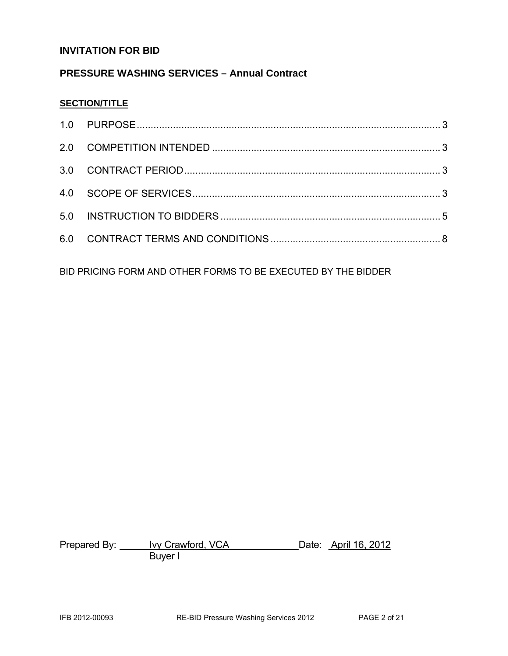#### **INVITATION FOR BID**

#### **PRESSURE WASHING SERVICES – Annual Contract**

#### **SECTION/TITLE**

BID PRICING FORM AND OTHER FORMS TO BE EXECUTED BY THE BIDDER

Prepared By: <u>Novice and VCA</u> Date: April 16, 2012 **Buyer I**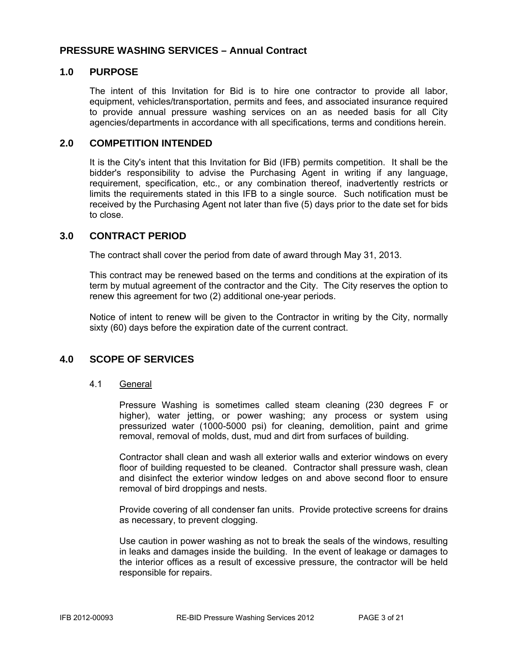#### **PRESSURE WASHING SERVICES – Annual Contract**

#### **1.0 PURPOSE**

The intent of this Invitation for Bid is to hire one contractor to provide all labor, equipment, vehicles/transportation, permits and fees, and associated insurance required to provide annual pressure washing services on an as needed basis for all City agencies/departments in accordance with all specifications, terms and conditions herein.

#### **2.0 COMPETITION INTENDED**

It is the City's intent that this Invitation for Bid (IFB) permits competition. It shall be the bidder's responsibility to advise the Purchasing Agent in writing if any language, requirement, specification, etc., or any combination thereof, inadvertently restricts or limits the requirements stated in this IFB to a single source. Such notification must be received by the Purchasing Agent not later than five (5) days prior to the date set for bids to close.

#### **3.0 CONTRACT PERIOD**

The contract shall cover the period from date of award through May 31, 2013.

This contract may be renewed based on the terms and conditions at the expiration of its term by mutual agreement of the contractor and the City. The City reserves the option to renew this agreement for two (2) additional one-year periods.

Notice of intent to renew will be given to the Contractor in writing by the City, normally sixty (60) days before the expiration date of the current contract.

#### **4.0 SCOPE OF SERVICES**

#### 4.1 General

Pressure Washing is sometimes called steam cleaning (230 degrees F or higher), water jetting, or power washing; any process or system using pressurized water (1000-5000 psi) for cleaning, demolition, paint and grime removal, removal of molds, dust, mud and dirt from surfaces of building.

Contractor shall clean and wash all exterior walls and exterior windows on every floor of building requested to be cleaned. Contractor shall pressure wash, clean and disinfect the exterior window ledges on and above second floor to ensure removal of bird droppings and nests.

Provide covering of all condenser fan units. Provide protective screens for drains as necessary, to prevent clogging.

Use caution in power washing as not to break the seals of the windows, resulting in leaks and damages inside the building. In the event of leakage or damages to the interior offices as a result of excessive pressure, the contractor will be held responsible for repairs.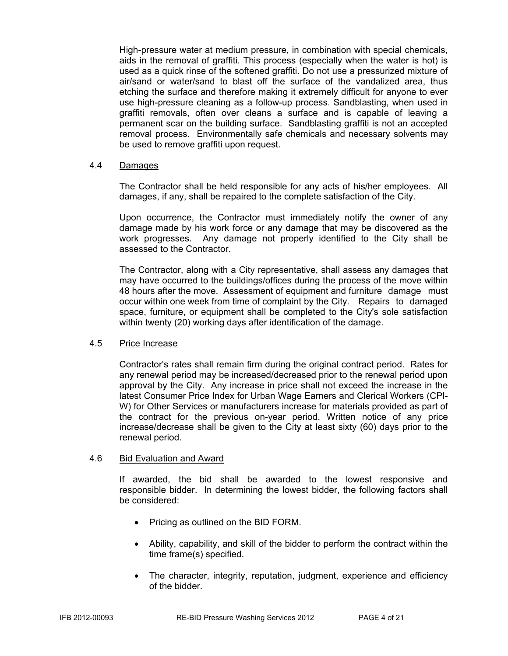High-pressure water at medium pressure, in combination with special chemicals, aids in the removal of graffiti. This process (especially when the water is hot) is used as a quick rinse of the softened graffiti. Do not use a pressurized mixture of air/sand or water/sand to blast off the surface of the vandalized area, thus etching the surface and therefore making it extremely difficult for anyone to ever use high-pressure cleaning as a follow-up process. Sandblasting, when used in graffiti removals, often over cleans a surface and is capable of leaving a permanent scar on the building surface. Sandblasting graffiti is not an accepted removal process. Environmentally safe chemicals and necessary solvents may be used to remove graffiti upon request.

#### 4.4 Damages

The Contractor shall be held responsible for any acts of his/her employees. All damages, if any, shall be repaired to the complete satisfaction of the City.

Upon occurrence, the Contractor must immediately notify the owner of any damage made by his work force or any damage that may be discovered as the work progresses. Any damage not properly identified to the City shall be assessed to the Contractor.

The Contractor, along with a City representative, shall assess any damages that may have occurred to the buildings/offices during the process of the move within 48 hours after the move. Assessment of equipment and furniture damage must occur within one week from time of complaint by the City. Repairs to damaged space, furniture, or equipment shall be completed to the City's sole satisfaction within twenty (20) working days after identification of the damage.

#### 4.5 Price Increase

Contractor's rates shall remain firm during the original contract period. Rates for any renewal period may be increased/decreased prior to the renewal period upon approval by the City. Any increase in price shall not exceed the increase in the latest Consumer Price Index for Urban Wage Earners and Clerical Workers (CPI-W) for Other Services or manufacturers increase for materials provided as part of the contract for the previous on-year period. Written notice of any price increase/decrease shall be given to the City at least sixty (60) days prior to the renewal period.

#### 4.6 Bid Evaluation and Award

If awarded, the bid shall be awarded to the lowest responsive and responsible bidder. In determining the lowest bidder, the following factors shall be considered:

- Pricing as outlined on the BID FORM.
- Ability, capability, and skill of the bidder to perform the contract within the time frame(s) specified.
- The character, integrity, reputation, judgment, experience and efficiency of the bidder.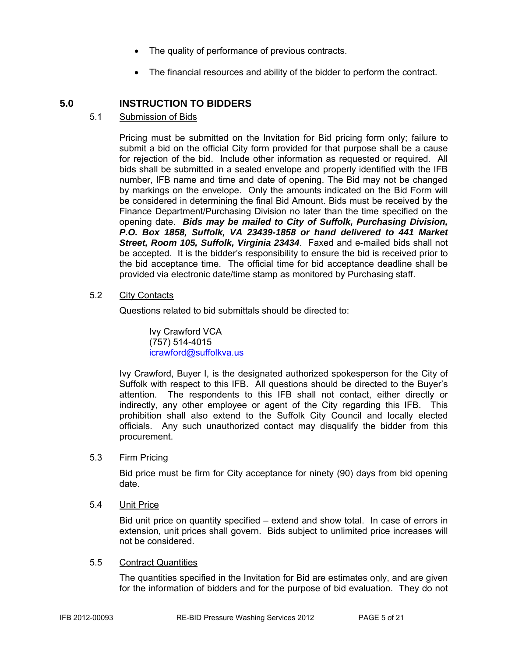- The quality of performance of previous contracts.
- The financial resources and ability of the bidder to perform the contract.

#### **5.0 INSTRUCTION TO BIDDERS**

#### 5.1 Submission of Bids

Pricing must be submitted on the Invitation for Bid pricing form only; failure to submit a bid on the official City form provided for that purpose shall be a cause for rejection of the bid. Include other information as requested or required. All bids shall be submitted in a sealed envelope and properly identified with the IFB number, IFB name and time and date of opening. The Bid may not be changed by markings on the envelope. Only the amounts indicated on the Bid Form will be considered in determining the final Bid Amount. Bids must be received by the Finance Department/Purchasing Division no later than the time specified on the opening date. *Bids may be mailed to City of Suffolk, Purchasing Division, P.O. Box 1858, Suffolk, VA 23439-1858 or hand delivered to 441 Market Street, Room 105, Suffolk, Virginia 23434*. Faxed and e-mailed bids shall not be accepted. It is the bidder's responsibility to ensure the bid is received prior to the bid acceptance time. The official time for bid acceptance deadline shall be provided via electronic date/time stamp as monitored by Purchasing staff.

#### 5.2 City Contacts

Questions related to bid submittals should be directed to:

 Ivy Crawford VCA (757) 514-4015 icrawford@suffolkva.us

Ivy Crawford, Buyer I, is the designated authorized spokesperson for the City of Suffolk with respect to this IFB. All questions should be directed to the Buyer's attention. The respondents to this IFB shall not contact, either directly or indirectly, any other employee or agent of the City regarding this IFB. This prohibition shall also extend to the Suffolk City Council and locally elected officials. Any such unauthorized contact may disqualify the bidder from this procurement.

#### 5.3 Firm Pricing

Bid price must be firm for City acceptance for ninety (90) days from bid opening date.

#### 5.4 Unit Price

Bid unit price on quantity specified – extend and show total. In case of errors in extension, unit prices shall govern. Bids subject to unlimited price increases will not be considered.

#### 5.5 Contract Quantities

The quantities specified in the Invitation for Bid are estimates only, and are given for the information of bidders and for the purpose of bid evaluation. They do not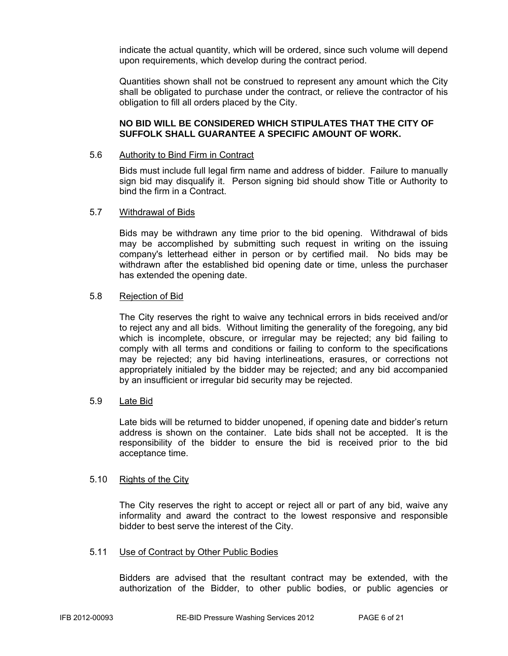indicate the actual quantity, which will be ordered, since such volume will depend upon requirements, which develop during the contract period.

Quantities shown shall not be construed to represent any amount which the City shall be obligated to purchase under the contract, or relieve the contractor of his obligation to fill all orders placed by the City.

#### **NO BID WILL BE CONSIDERED WHICH STIPULATES THAT THE CITY OF SUFFOLK SHALL GUARANTEE A SPECIFIC AMOUNT OF WORK.**

#### 5.6 Authority to Bind Firm in Contract

Bids must include full legal firm name and address of bidder. Failure to manually sign bid may disqualify it. Person signing bid should show Title or Authority to bind the firm in a Contract.

#### 5.7 Withdrawal of Bids

Bids may be withdrawn any time prior to the bid opening. Withdrawal of bids may be accomplished by submitting such request in writing on the issuing company's letterhead either in person or by certified mail. No bids may be withdrawn after the established bid opening date or time, unless the purchaser has extended the opening date.

#### 5.8 Rejection of Bid

The City reserves the right to waive any technical errors in bids received and/or to reject any and all bids. Without limiting the generality of the foregoing, any bid which is incomplete, obscure, or irregular may be rejected; any bid failing to comply with all terms and conditions or failing to conform to the specifications may be rejected; any bid having interlineations, erasures, or corrections not appropriately initialed by the bidder may be rejected; and any bid accompanied by an insufficient or irregular bid security may be rejected.

#### 5.9 Late Bid

Late bids will be returned to bidder unopened, if opening date and bidder's return address is shown on the container. Late bids shall not be accepted. It is the responsibility of the bidder to ensure the bid is received prior to the bid acceptance time.

#### 5.10 Rights of the City

The City reserves the right to accept or reject all or part of any bid, waive any informality and award the contract to the lowest responsive and responsible bidder to best serve the interest of the City.

#### 5.11 Use of Contract by Other Public Bodies

Bidders are advised that the resultant contract may be extended, with the authorization of the Bidder, to other public bodies, or public agencies or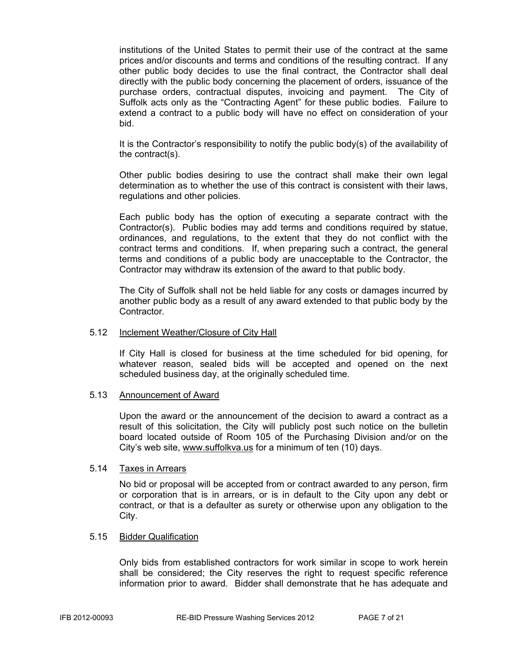institutions of the United States to permit their use of the contract at the same prices and/or discounts and terms and conditions of the resulting contract. If any other public body decides to use the final contract, the Contractor shall deal directly with the public body concerning the placement of orders, issuance of the purchase orders, contractual disputes, invoicing and payment. The City of Suffolk acts only as the "Contracting Agent" for these public bodies. Failure to extend a contract to a public body will have no effect on consideration of your bid.

It is the Contractor's responsibility to notify the public body(s) of the availability of the contract(s).

Other public bodies desiring to use the contract shall make their own legal determination as to whether the use of this contract is consistent with their laws, regulations and other policies.

Each public body has the option of executing a separate contract with the Contractor(s). Public bodies may add terms and conditions required by statue, ordinances, and regulations, to the extent that they do not conflict with the contract terms and conditions. If, when preparing such a contract, the general terms and conditions of a public body are unacceptable to the Contractor, the Contractor may withdraw its extension of the award to that public body.

The City of Suffolk shall not be held liable for any costs or damages incurred by another public body as a result of any award extended to that public body by the Contractor.

#### 5.12 Inclement Weather/Closure of City Hall

If City Hall is closed for business at the time scheduled for bid opening, for whatever reason, sealed bids will be accepted and opened on the next scheduled business day, at the originally scheduled time.

#### 5.13 Announcement of Award

Upon the award or the announcement of the decision to award a contract as a result of this solicitation, the City will publicly post such notice on the bulletin board located outside of Room 105 of the Purchasing Division and/or on the City's web site, www.suffolkva.us for a minimum of ten (10) days.

#### 5.14 Taxes in Arrears

No bid or proposal will be accepted from or contract awarded to any person, firm or corporation that is in arrears, or is in default to the City upon any debt or contract, or that is a defaulter as surety or otherwise upon any obligation to the City.

#### 5.15 Bidder Qualification

Only bids from established contractors for work similar in scope to work herein shall be considered; the City reserves the right to request specific reference information prior to award. Bidder shall demonstrate that he has adequate and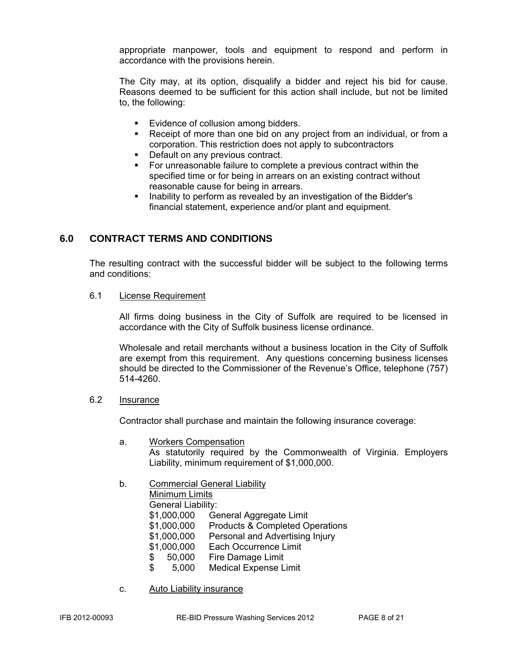appropriate manpower, tools and equipment to respond and perform in accordance with the provisions herein.

The City may, at its option, disqualify a bidder and reject his bid for cause. Reasons deemed to be sufficient for this action shall include, but not be limited to, the following:

- **Evidence of collusion among bidders.**
- Receipt of more than one bid on any project from an individual, or from a corporation. This restriction does not apply to subcontractors
- Default on any previous contract.
- For unreasonable failure to complete a previous contract within the specified time or for being in arrears on an existing contract without reasonable cause for being in arrears.
- Inability to perform as revealed by an investigation of the Bidder's financial statement, experience and/or plant and equipment.

#### **6.0 CONTRACT TERMS AND CONDITIONS**

The resulting contract with the successful bidder will be subject to the following terms and conditions:

#### 6.1 License Requirement

All firms doing business in the City of Suffolk are required to be licensed in accordance with the City of Suffolk business license ordinance.

Wholesale and retail merchants without a business location in the City of Suffolk are exempt from this requirement. Any questions concerning business licenses should be directed to the Commissioner of the Revenue's Office, telephone (757) 514-4260.

#### 6.2 Insurance

Contractor shall purchase and maintain the following insurance coverage:

- a. Workers Compensation As statutorily required by the Commonwealth of Virginia. Employers Liability, minimum requirement of \$1,000,000.
- b. Commercial General Liability
	- Minimum Limits

General Liability:

- \$1,000,000 General Aggregate Limit
- \$1,000,000 Products & Completed Operations
- \$1,000,000 Personal and Advertising Injury
- \$1,000,000 Each Occurrence Limit
- \$ 50,000 Fire Damage Limit
- \$ 5,000 Medical Expense Limit
- c. Auto Liability insurance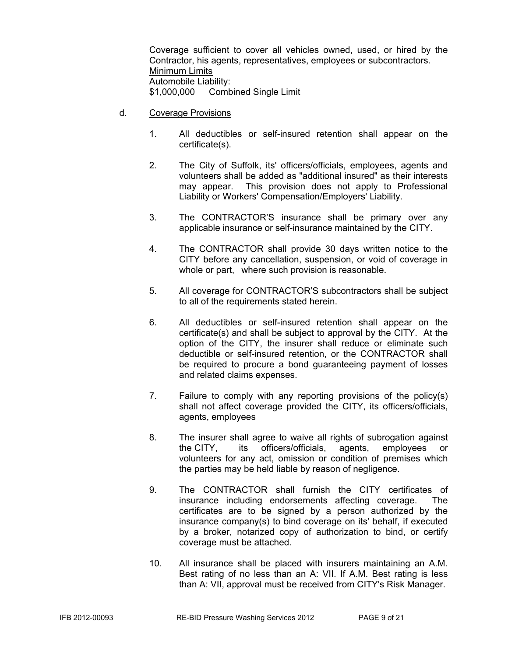Coverage sufficient to cover all vehicles owned, used, or hired by the Contractor, his agents, representatives, employees or subcontractors. Minimum Limits Automobile Liability: \$1,000,000 Combined Single Limit

- d. Coverage Provisions
	- 1. All deductibles or self-insured retention shall appear on the certificate(s).
	- 2. The City of Suffolk, its' officers/officials, employees, agents and volunteers shall be added as "additional insured" as their interests may appear. This provision does not apply to Professional Liability or Workers' Compensation/Employers' Liability.
	- 3. The CONTRACTOR'S insurance shall be primary over any applicable insurance or self-insurance maintained by the CITY.
	- 4. The CONTRACTOR shall provide 30 days written notice to the CITY before any cancellation, suspension, or void of coverage in whole or part, where such provision is reasonable.
	- 5. All coverage for CONTRACTOR'S subcontractors shall be subject to all of the requirements stated herein.
	- 6. All deductibles or self-insured retention shall appear on the certificate(s) and shall be subject to approval by the CITY. At the option of the CITY, the insurer shall reduce or eliminate such deductible or self-insured retention, or the CONTRACTOR shall be required to procure a bond guaranteeing payment of losses and related claims expenses.
	- 7. Failure to comply with any reporting provisions of the policy(s) shall not affect coverage provided the CITY, its officers/officials, agents, employees
	- 8. The insurer shall agree to waive all rights of subrogation against the CITY, its officers/officials, agents, employees or volunteers for any act, omission or condition of premises which the parties may be held liable by reason of negligence.
	- 9. The CONTRACTOR shall furnish the CITY certificates of insurance including endorsements affecting coverage. The certificates are to be signed by a person authorized by the insurance company(s) to bind coverage on its' behalf, if executed by a broker, notarized copy of authorization to bind, or certify coverage must be attached.
	- 10. All insurance shall be placed with insurers maintaining an A.M. Best rating of no less than an A: VII. If A.M. Best rating is less than A: VII, approval must be received from CITY's Risk Manager.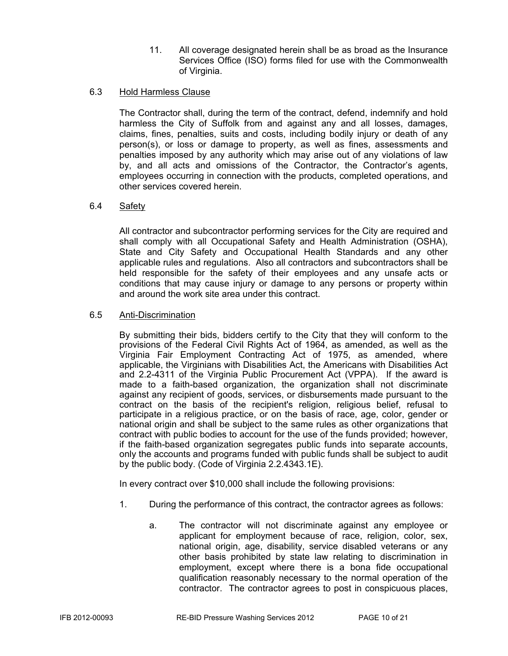11. All coverage designated herein shall be as broad as the Insurance Services Office (ISO) forms filed for use with the Commonwealth of Virginia.

#### 6.3 Hold Harmless Clause

The Contractor shall, during the term of the contract, defend, indemnify and hold harmless the City of Suffolk from and against any and all losses, damages, claims, fines, penalties, suits and costs, including bodily injury or death of any person(s), or loss or damage to property, as well as fines, assessments and penalties imposed by any authority which may arise out of any violations of law by, and all acts and omissions of the Contractor, the Contractor's agents, employees occurring in connection with the products, completed operations, and other services covered herein.

#### 6.4 Safety

All contractor and subcontractor performing services for the City are required and shall comply with all Occupational Safety and Health Administration (OSHA), State and City Safety and Occupational Health Standards and any other applicable rules and regulations. Also all contractors and subcontractors shall be held responsible for the safety of their employees and any unsafe acts or conditions that may cause injury or damage to any persons or property within and around the work site area under this contract.

#### 6.5 Anti-Discrimination

By submitting their bids, bidders certify to the City that they will conform to the provisions of the Federal Civil Rights Act of 1964, as amended, as well as the Virginia Fair Employment Contracting Act of 1975, as amended, where applicable, the Virginians with Disabilities Act, the Americans with Disabilities Act and 2.2-4311 of the Virginia Public Procurement Act (VPPA). If the award is made to a faith-based organization, the organization shall not discriminate against any recipient of goods, services, or disbursements made pursuant to the contract on the basis of the recipient's religion, religious belief, refusal to participate in a religious practice, or on the basis of race, age, color, gender or national origin and shall be subject to the same rules as other organizations that contract with public bodies to account for the use of the funds provided; however, if the faith-based organization segregates public funds into separate accounts, only the accounts and programs funded with public funds shall be subject to audit by the public body. (Code of Virginia 2.2.4343.1E).

In every contract over \$10,000 shall include the following provisions:

- 1. During the performance of this contract, the contractor agrees as follows:
	- a. The contractor will not discriminate against any employee or applicant for employment because of race, religion, color, sex, national origin, age, disability, service disabled veterans or any other basis prohibited by state law relating to discrimination in employment, except where there is a bona fide occupational qualification reasonably necessary to the normal operation of the contractor. The contractor agrees to post in conspicuous places,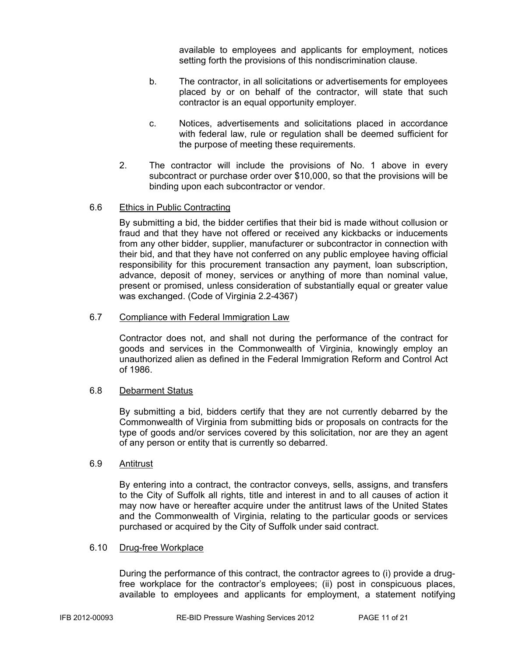available to employees and applicants for employment, notices setting forth the provisions of this nondiscrimination clause.

- b. The contractor, in all solicitations or advertisements for employees placed by or on behalf of the contractor, will state that such contractor is an equal opportunity employer.
- c. Notices, advertisements and solicitations placed in accordance with federal law, rule or regulation shall be deemed sufficient for the purpose of meeting these requirements.
- 2. The contractor will include the provisions of No. 1 above in every subcontract or purchase order over \$10,000, so that the provisions will be binding upon each subcontractor or vendor.

#### 6.6 Ethics in Public Contracting

By submitting a bid, the bidder certifies that their bid is made without collusion or fraud and that they have not offered or received any kickbacks or inducements from any other bidder, supplier, manufacturer or subcontractor in connection with their bid, and that they have not conferred on any public employee having official responsibility for this procurement transaction any payment, loan subscription, advance, deposit of money, services or anything of more than nominal value, present or promised, unless consideration of substantially equal or greater value was exchanged. (Code of Virginia 2.2-4367)

#### 6.7 Compliance with Federal Immigration Law

Contractor does not, and shall not during the performance of the contract for goods and services in the Commonwealth of Virginia, knowingly employ an unauthorized alien as defined in the Federal Immigration Reform and Control Act of 1986.

#### 6.8 Debarment Status

By submitting a bid, bidders certify that they are not currently debarred by the Commonwealth of Virginia from submitting bids or proposals on contracts for the type of goods and/or services covered by this solicitation, nor are they an agent of any person or entity that is currently so debarred.

#### 6.9 Antitrust

By entering into a contract, the contractor conveys, sells, assigns, and transfers to the City of Suffolk all rights, title and interest in and to all causes of action it may now have or hereafter acquire under the antitrust laws of the United States and the Commonwealth of Virginia, relating to the particular goods or services purchased or acquired by the City of Suffolk under said contract.

#### 6.10 Drug-free Workplace

During the performance of this contract, the contractor agrees to (i) provide a drugfree workplace for the contractor's employees; (ii) post in conspicuous places, available to employees and applicants for employment, a statement notifying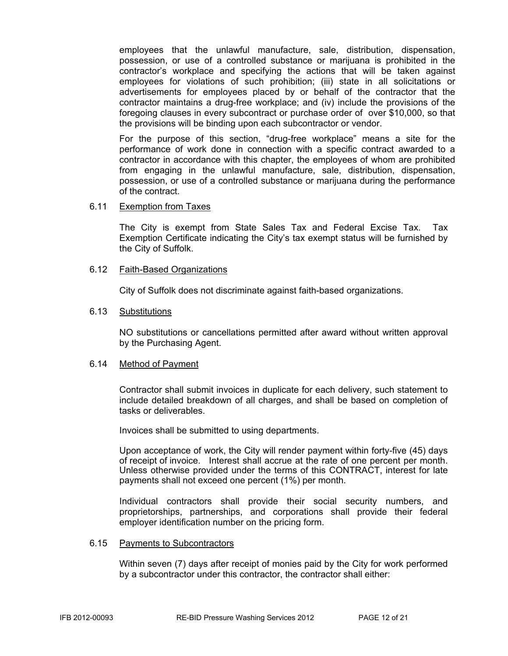employees that the unlawful manufacture, sale, distribution, dispensation, possession, or use of a controlled substance or marijuana is prohibited in the contractor's workplace and specifying the actions that will be taken against employees for violations of such prohibition; (iii) state in all solicitations or advertisements for employees placed by or behalf of the contractor that the contractor maintains a drug-free workplace; and (iv) include the provisions of the foregoing clauses in every subcontract or purchase order of over \$10,000, so that the provisions will be binding upon each subcontractor or vendor.

For the purpose of this section, "drug-free workplace" means a site for the performance of work done in connection with a specific contract awarded to a contractor in accordance with this chapter, the employees of whom are prohibited from engaging in the unlawful manufacture, sale, distribution, dispensation, possession, or use of a controlled substance or marijuana during the performance of the contract.

#### 6.11 Exemption from Taxes

The City is exempt from State Sales Tax and Federal Excise Tax. Tax Exemption Certificate indicating the City's tax exempt status will be furnished by the City of Suffolk.

#### 6.12 Faith-Based Organizations

City of Suffolk does not discriminate against faith-based organizations.

#### 6.13 Substitutions

NO substitutions or cancellations permitted after award without written approval by the Purchasing Agent.

#### 6.14 Method of Payment

Contractor shall submit invoices in duplicate for each delivery, such statement to include detailed breakdown of all charges, and shall be based on completion of tasks or deliverables.

Invoices shall be submitted to using departments.

Upon acceptance of work, the City will render payment within forty-five (45) days of receipt of invoice. Interest shall accrue at the rate of one percent per month. Unless otherwise provided under the terms of this CONTRACT, interest for late payments shall not exceed one percent (1%) per month.

Individual contractors shall provide their social security numbers, and proprietorships, partnerships, and corporations shall provide their federal employer identification number on the pricing form.

#### 6.15 Payments to Subcontractors

Within seven (7) days after receipt of monies paid by the City for work performed by a subcontractor under this contractor, the contractor shall either: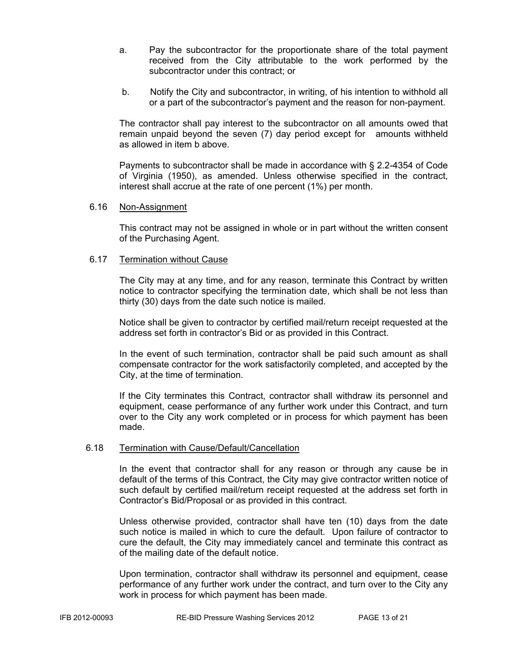- a. Pay the subcontractor for the proportionate share of the total payment received from the City attributable to the work performed by the subcontractor under this contract; or
- b. Notify the City and subcontractor, in writing, of his intention to withhold all or a part of the subcontractor's payment and the reason for non-payment.

The contractor shall pay interest to the subcontractor on all amounts owed that remain unpaid beyond the seven (7) day period except for amounts withheld as allowed in item b above.

Payments to subcontractor shall be made in accordance with § 2.2-4354 of Code of Virginia (1950), as amended. Unless otherwise specified in the contract, interest shall accrue at the rate of one percent (1%) per month.

#### 6.16 Non-Assignment

This contract may not be assigned in whole or in part without the written consent of the Purchasing Agent.

#### 6.17 Termination without Cause

The City may at any time, and for any reason, terminate this Contract by written notice to contractor specifying the termination date, which shall be not less than thirty (30) days from the date such notice is mailed.

Notice shall be given to contractor by certified mail/return receipt requested at the address set forth in contractor's Bid or as provided in this Contract.

In the event of such termination, contractor shall be paid such amount as shall compensate contractor for the work satisfactorily completed, and accepted by the City, at the time of termination.

If the City terminates this Contract, contractor shall withdraw its personnel and equipment, cease performance of any further work under this Contract, and turn over to the City any work completed or in process for which payment has been made.

#### 6.18 Termination with Cause/Default/Cancellation

In the event that contractor shall for any reason or through any cause be in default of the terms of this Contract, the City may give contractor written notice of such default by certified mail/return receipt requested at the address set forth in Contractor's Bid/Proposal or as provided in this contract.

Unless otherwise provided, contractor shall have ten (10) days from the date such notice is mailed in which to cure the default. Upon failure of contractor to cure the default, the City may immediately cancel and terminate this contract as of the mailing date of the default notice.

Upon termination, contractor shall withdraw its personnel and equipment, cease performance of any further work under the contract, and turn over to the City any work in process for which payment has been made.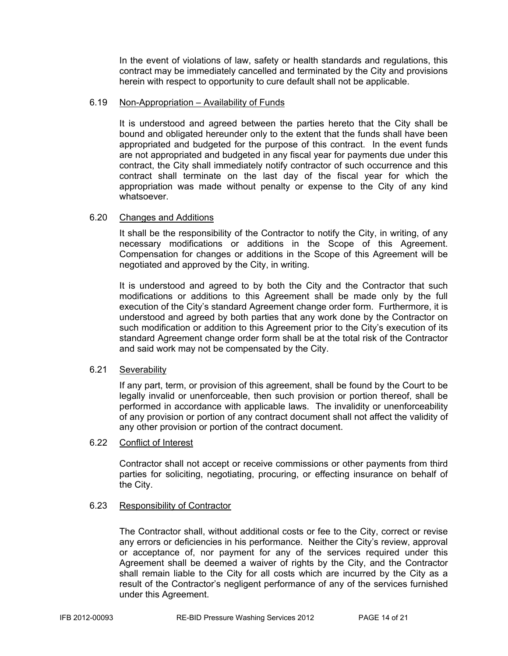In the event of violations of law, safety or health standards and regulations, this contract may be immediately cancelled and terminated by the City and provisions herein with respect to opportunity to cure default shall not be applicable.

#### 6.19 Non-Appropriation – Availability of Funds

It is understood and agreed between the parties hereto that the City shall be bound and obligated hereunder only to the extent that the funds shall have been appropriated and budgeted for the purpose of this contract. In the event funds are not appropriated and budgeted in any fiscal year for payments due under this contract, the City shall immediately notify contractor of such occurrence and this contract shall terminate on the last day of the fiscal year for which the appropriation was made without penalty or expense to the City of any kind whatsoever.

#### 6.20 Changes and Additions

It shall be the responsibility of the Contractor to notify the City, in writing, of any necessary modifications or additions in the Scope of this Agreement. Compensation for changes or additions in the Scope of this Agreement will be negotiated and approved by the City, in writing.

It is understood and agreed to by both the City and the Contractor that such modifications or additions to this Agreement shall be made only by the full execution of the City's standard Agreement change order form. Furthermore, it is understood and agreed by both parties that any work done by the Contractor on such modification or addition to this Agreement prior to the City's execution of its standard Agreement change order form shall be at the total risk of the Contractor and said work may not be compensated by the City.

#### 6.21 Severability

If any part, term, or provision of this agreement, shall be found by the Court to be legally invalid or unenforceable, then such provision or portion thereof, shall be performed in accordance with applicable laws. The invalidity or unenforceability of any provision or portion of any contract document shall not affect the validity of any other provision or portion of the contract document.

#### 6.22 Conflict of Interest

Contractor shall not accept or receive commissions or other payments from third parties for soliciting, negotiating, procuring, or effecting insurance on behalf of the City.

#### 6.23 Responsibility of Contractor

The Contractor shall, without additional costs or fee to the City, correct or revise any errors or deficiencies in his performance. Neither the City's review, approval or acceptance of, nor payment for any of the services required under this Agreement shall be deemed a waiver of rights by the City, and the Contractor shall remain liable to the City for all costs which are incurred by the City as a result of the Contractor's negligent performance of any of the services furnished under this Agreement.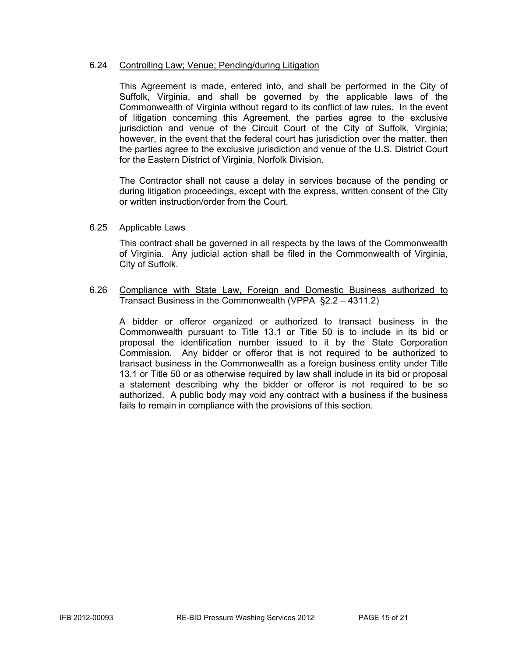#### 6.24 Controlling Law; Venue; Pending/during Litigation

This Agreement is made, entered into, and shall be performed in the City of Suffolk, Virginia, and shall be governed by the applicable laws of the Commonwealth of Virginia without regard to its conflict of law rules. In the event of litigation concerning this Agreement, the parties agree to the exclusive jurisdiction and venue of the Circuit Court of the City of Suffolk, Virginia; however, in the event that the federal court has jurisdiction over the matter, then the parties agree to the exclusive jurisdiction and venue of the U.S. District Court for the Eastern District of Virginia, Norfolk Division.

The Contractor shall not cause a delay in services because of the pending or during litigation proceedings, except with the express, written consent of the City or written instruction/order from the Court.

#### 6.25 Applicable Laws

This contract shall be governed in all respects by the laws of the Commonwealth of Virginia. Any judicial action shall be filed in the Commonwealth of Virginia, City of Suffolk.

#### 6.26 Compliance with State Law, Foreign and Domestic Business authorized to Transact Business in the Commonwealth (VPPA §2.2 – 4311.2)

A bidder or offeror organized or authorized to transact business in the Commonwealth pursuant to Title 13.1 or Title 50 is to include in its bid or proposal the identification number issued to it by the State Corporation Commission. Any bidder or offeror that is not required to be authorized to transact business in the Commonwealth as a foreign business entity under Title 13.1 or Title 50 or as otherwise required by law shall include in its bid or proposal a statement describing why the bidder or offeror is not required to be so authorized. A public body may void any contract with a business if the business fails to remain in compliance with the provisions of this section.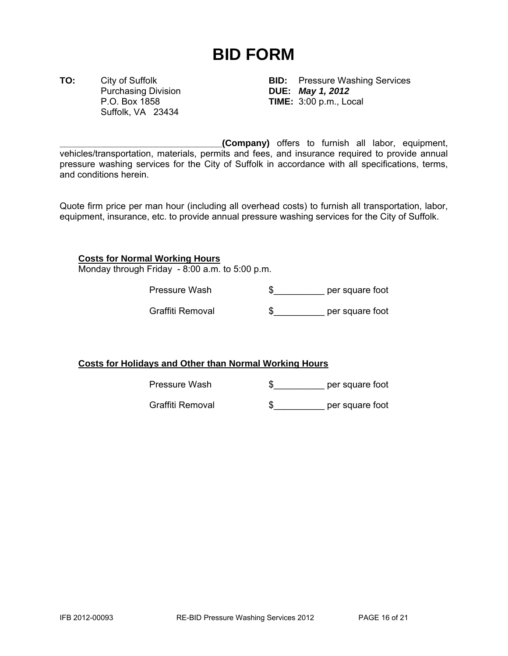### **BID FORM**

Purchasing Division **DUE:** *May 1, 2012* Suffolk, VA 23434

**TO:** City of Suffolk **BID:** Pressure Washing Services P.O. Box 1858 **TIME:** 3:00 p.m., Local

**\_\_\_\_\_\_\_\_\_\_\_\_\_\_\_\_\_\_\_\_\_\_\_\_\_\_\_\_\_\_\_\_(Company)** offers to furnish all labor, equipment, vehicles/transportation, materials, permits and fees, and insurance required to provide annual pressure washing services for the City of Suffolk in accordance with all specifications, terms, and conditions herein.

Quote firm price per man hour (including all overhead costs) to furnish all transportation, labor, equipment, insurance, etc. to provide annual pressure washing services for the City of Suffolk.

#### **Costs for Normal Working Hours**

Monday through Friday - 8:00 a.m. to 5:00 p.m.

Pressure Wash  $\quad \$ 

Graffiti Removal  $\qquad \qquad \$ 

#### **Costs for Holidays and Other than Normal Working Hours**

Pressure Wash  $\qquad \qquad \text{``} \qquad \qquad \text{``}$  per square foot

Graffiti Removal  $\quad \$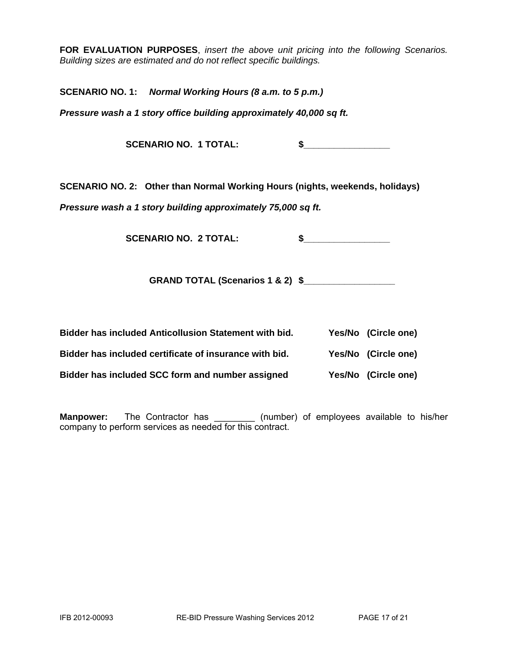**FOR EVALUATION PURPOSES**, *insert the above unit pricing into the following Scenarios. Building sizes are estimated and do not reflect specific buildings.* 

**SCENARIO NO. 1:** *Normal Working Hours (8 a.m. to 5 p.m.)* 

*Pressure wash a 1 story office building approximately 40,000 sq ft.* 

**SCENARIO NO. 1 TOTAL: \$\_\_\_\_\_\_\_\_\_\_\_\_\_\_\_\_\_** 

**SCENARIO NO. 2: Other than Normal Working Hours (nights, weekends, holidays)** 

*Pressure wash a 1 story building approximately 75,000 sq ft.* 

**SCENARIO NO. 2 TOTAL: \$\_\_\_\_\_\_\_\_\_\_\_\_\_\_\_\_\_** 

**GRAND TOTAL (Scenarios 1 & 2) \$\_\_\_\_\_\_\_\_\_\_\_\_\_\_\_\_\_\_** 

| Bidder has included Anticollusion Statement with bid.  | Yes/No (Circle one) |
|--------------------------------------------------------|---------------------|
| Bidder has included certificate of insurance with bid. | Yes/No (Circle one) |
| Bidder has included SCC form and number assigned       | Yes/No (Circle one) |

**Manpower:** The Contractor has \_\_\_\_\_\_\_\_ (number) of employees available to his/her company to perform services as needed for this contract.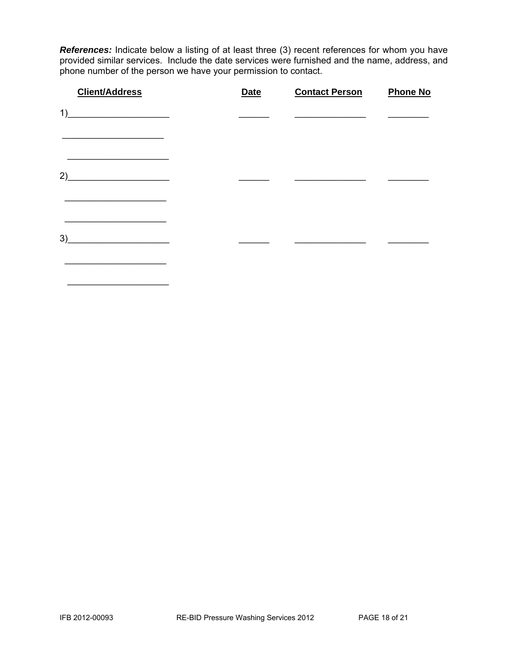*References:* Indicate below a listing of at least three (3) recent references for whom you have provided similar services. Include the date services were furnished and the name, address, and phone number of the person we have your permission to contact.

| <b>Client/Address</b>                                                                                                       | <b>Date</b> | <b>Contact Person</b> | <b>Phone No</b> |
|-----------------------------------------------------------------------------------------------------------------------------|-------------|-----------------------|-----------------|
| 1)<br><u> 1990 - Johann John Stoff, mars ar breithinn ar breithinn ar breithinn ar breithinn ar breithinn ar breithinn </u> |             |                       |                 |
| 2)                                                                                                                          |             |                       |                 |
| 3)                                                                                                                          |             |                       |                 |

 $\overline{\phantom{a}}$  ,  $\overline{\phantom{a}}$  ,  $\overline{\phantom{a}}$  ,  $\overline{\phantom{a}}$  ,  $\overline{\phantom{a}}$  ,  $\overline{\phantom{a}}$  ,  $\overline{\phantom{a}}$  ,  $\overline{\phantom{a}}$  ,  $\overline{\phantom{a}}$  ,  $\overline{\phantom{a}}$  ,  $\overline{\phantom{a}}$  ,  $\overline{\phantom{a}}$  ,  $\overline{\phantom{a}}$  ,  $\overline{\phantom{a}}$  ,  $\overline{\phantom{a}}$  ,  $\overline{\phantom{a}}$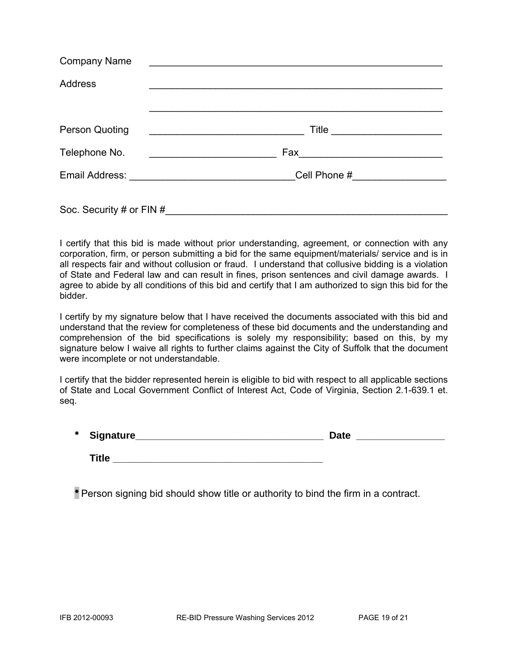| <b>Company Name</b>      | <u> 1980 - Johann Johann Stone, meil in der Stone aus der Stone aus der Stone aus der Stone aus der Stone aus der </u> |
|--------------------------|------------------------------------------------------------------------------------------------------------------------|
| <b>Address</b>           |                                                                                                                        |
|                          |                                                                                                                        |
| <b>Person Quoting</b>    | <u> 1989 - Johann Barbara, martin amerikan basal dan berasal dan berasal dalam basal dalam basal dalam basal dala</u>  |
| Telephone No.            |                                                                                                                        |
|                          | Cell Phone #__________________                                                                                         |
| Soc. Security # or FIN # |                                                                                                                        |

I certify that this bid is made without prior understanding, agreement, or connection with any corporation, firm, or person submitting a bid for the same equipment/materials/ service and is in all respects fair and without collusion or fraud. I understand that collusive bidding is a violation of State and Federal law and can result in fines, prison sentences and civil damage awards. I agree to abide by all conditions of this bid and certify that I am authorized to sign this bid for the bidder.

I certify by my signature below that I have received the documents associated with this bid and understand that the review for completeness of these bid documents and the understanding and comprehension of the bid specifications is solely my responsibility; based on this, by my signature below I waive all rights to further claims against the City of Suffolk that the document were incomplete or not understandable.

I certify that the bidder represented herein is eligible to bid with respect to all applicable sections of State and Local Government Conflict of Interest Act, Code of Virginia, Section 2.1-639.1 et. seq.

| $\ast$ | Signature_ | Jate |  |
|--------|------------|------|--|
|        |            |      |  |

**Title** 

\* Person signing bid should show title or authority to bind the firm in a contract.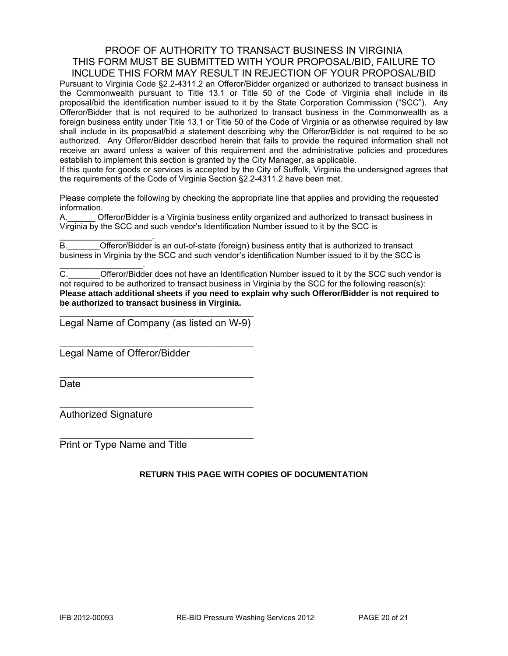#### PROOF OF AUTHORITY TO TRANSACT BUSINESS IN VIRGINIA THIS FORM MUST BE SUBMITTED WITH YOUR PROPOSAL/BID, FAILURE TO INCLUDE THIS FORM MAY RESULT IN REJECTION OF YOUR PROPOSAL/BID

Pursuant to Virginia Code §2.2-4311.2 an Offeror/Bidder organized or authorized to transact business in the Commonwealth pursuant to Title 13.1 or Title 50 of the Code of Virginia shall include in its proposal/bid the identification number issued to it by the State Corporation Commission ("SCC"). Any Offeror/Bidder that is not required to be authorized to transact business in the Commonwealth as a foreign business entity under Title 13.1 or Title 50 of the Code of Virginia or as otherwise required by law shall include in its proposal/bid a statement describing why the Offeror/Bidder is not required to be so authorized. Any Offeror/Bidder described herein that fails to provide the required information shall not receive an award unless a waiver of this requirement and the administrative policies and procedures establish to implement this section is granted by the City Manager, as applicable.

If this quote for goods or services is accepted by the City of Suffolk, Virginia the undersigned agrees that the requirements of the Code of Virginia Section §2.2-4311.2 have been met.

Please complete the following by checking the appropriate line that applies and providing the requested information.

A.\_\_\_\_\_\_ Offeror/Bidder is a Virginia business entity organized and authorized to transact business in Virginia by the SCC and such vendor's Identification Number issued to it by the SCC is

 $\mathcal{L}_\text{max}$  and  $\mathcal{L}_\text{max}$  and  $\mathcal{L}_\text{max}$ B. **Combinded Offeror/Bidder** is an out-of-state (foreign) business entity that is authorized to transact business in Virginia by the SCC and such vendor's identification Number issued to it by the SCC is

C. C. C. Cofferor/Bidder does not have an Identification Number issued to it by the SCC such vendor is not required to be authorized to transact business in Virginia by the SCC for the following reason(s): **Please attach additional sheets if you need to explain why such Offeror/Bidder is not required to be authorized to transact business in Virginia.** 

\_\_\_\_\_\_\_\_\_\_\_\_\_\_\_\_\_\_\_\_\_\_\_\_\_\_\_\_\_\_\_\_\_\_\_\_\_\_\_\_\_\_ Legal Name of Company (as listed on W-9)

\_\_\_\_\_\_\_\_\_\_\_\_\_\_\_\_\_\_\_\_\_\_\_\_\_\_\_\_\_\_\_\_\_\_\_\_\_\_\_\_\_\_

\_\_\_\_\_\_\_\_\_\_\_\_\_\_\_\_\_\_\_\_\_\_\_\_\_\_\_\_\_\_\_\_\_\_\_\_\_\_\_\_\_\_

\_\_\_\_\_\_\_\_\_\_\_\_\_\_\_\_\_\_\_\_\_\_\_\_\_\_\_\_\_\_\_\_\_\_\_\_\_\_\_\_\_\_

 $\mathcal{L}_\text{max}$  , and the set of the set of the set of the set of the set of the set of the set of the set of the set of the set of the set of the set of the set of the set of the set of the set of the set of the set of the

Legal Name of Offeror/Bidder

**Date** 

Authorized Signature

 $\mathcal{L}_\text{max}$  and  $\mathcal{L}_\text{max}$  and  $\mathcal{L}_\text{max}$ 

Print or Type Name and Title

#### **RETURN THIS PAGE WITH COPIES OF DOCUMENTATION**